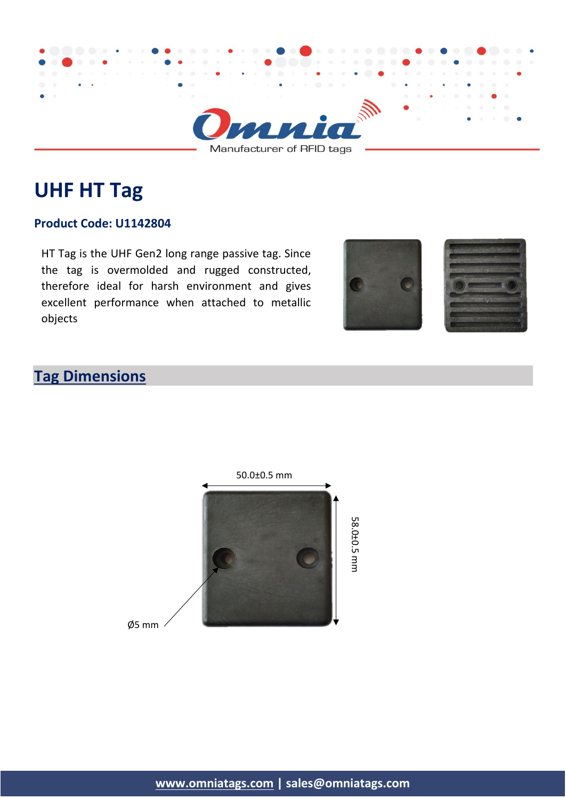

Manufacturer of RFID tags

# **UHF HT Tag**

#### **Product Code: U1142804**

HT Tag is the UHF Gen2 long range passive tag. Since the tag is overmolded and rugged constructed, therefore ideal for harsh environment and gives excellent performance when attached to metallic objects





## **Tag Dimensions**



Ø5 mm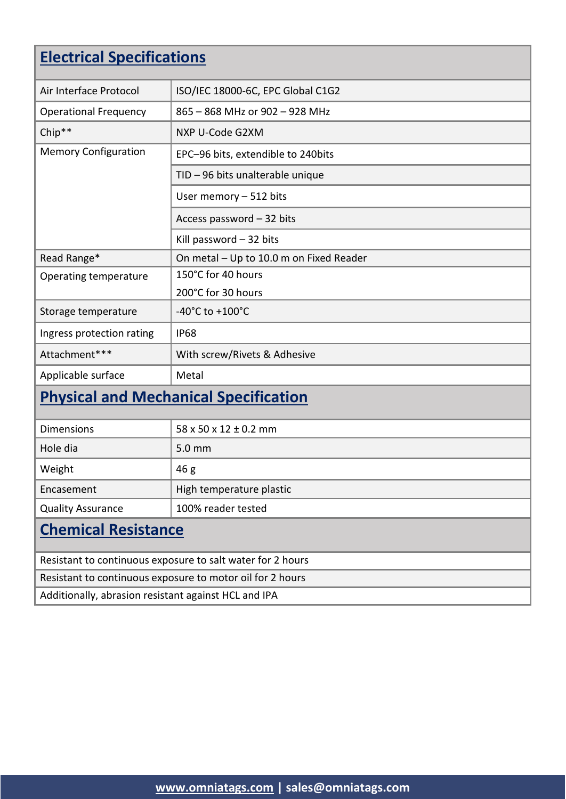## **Electrical Specifications**

| Air Interface Protocol                       | ISO/IEC 18000-6C, EPC Global C1G2       |  |
|----------------------------------------------|-----------------------------------------|--|
| <b>Operational Frequency</b>                 | 865 - 868 MHz or 902 - 928 MHz          |  |
| Chip**                                       | NXP U-Code G2XM                         |  |
| <b>Memory Configuration</b>                  | EPC-96 bits, extendible to 240bits      |  |
|                                              | TID - 96 bits unalterable unique        |  |
|                                              | User memory $-512$ bits                 |  |
|                                              | Access password - 32 bits               |  |
|                                              | Kill password - 32 bits                 |  |
| Read Range*                                  | On metal - Up to 10.0 m on Fixed Reader |  |
| Operating temperature                        | 150°C for 40 hours                      |  |
|                                              | 200°C for 30 hours                      |  |
| Storage temperature                          | $-40^{\circ}$ C to $+100^{\circ}$ C     |  |
| Ingress protection rating                    | <b>IP68</b>                             |  |
| Attachment***                                | With screw/Rivets & Adhesive            |  |
| Applicable surface                           | Metal                                   |  |
| <b>Physical and Mechanical Specification</b> |                                         |  |

| Chamical Decistance      |                                     |  |
|--------------------------|-------------------------------------|--|
| <b>Quality Assurance</b> | 100% reader tested                  |  |
| Encasement               | High temperature plastic            |  |
| Weight                   | 46g                                 |  |
| Hole dia                 | 5.0 mm                              |  |
| <b>Dimensions</b>        | $58 \times 50 \times 12 \pm 0.2$ mm |  |

### **Chemical Resistance**

Resistant to continuous exposure to salt water for 2 hours Resistant to continuous exposure to motor oil for 2 hours Additionally, abrasion resistant against HCL and IPA